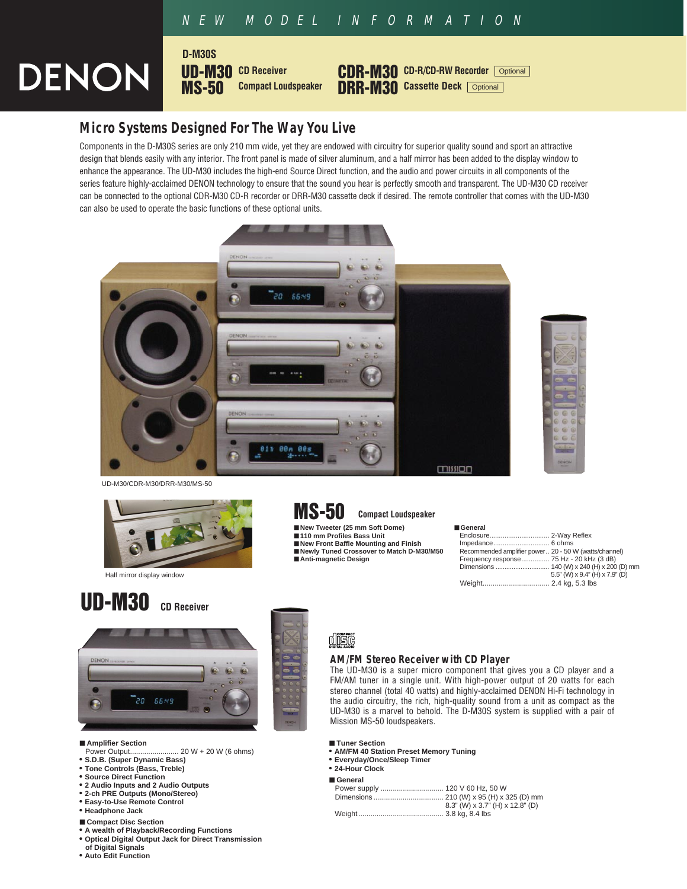## NEW MODEL INFORMATION

# **DENON**



## **Micro Systems Designed For The Way You Live**

**D-M30S**

Components in the D-M30S series are only 210 mm wide, yet they are endowed with circuitry for superior quality sound and sport an attractive design that blends easily with any interior. The front panel is made of silver aluminum, and a half mirror has been added to the display window to enhance the appearance. The UD-M30 includes the high-end Source Direct function, and the audio and power circuits in all components of the series feature highly-acclaimed DENON technology to ensure that the sound you hear is perfectly smooth and transparent. The UD-M30 CD receiver can be connected to the optional CDR-M30 CD-R recorder or DRR-M30 cassette deck if desired. The remote controller that comes with the UD-M30 can also be used to operate the basic functions of these optional units.





UD-M30/CDR-M30/DRR-M30/MS-50



Half mirror display window

## **UD-M30 CD Receiver**



- 
- **Amplifier Section**<br>Power Output........ ... 20 W + 20 W (6 ohms)
- **S.D.B. (Super Dynamic Bass)**
- **Tone Controls (Bass, Treble)**
- **Source Direct Function**
- **2 Audio Inputs and 2 Audio Outputs**
- **2-ch PRE Outputs (Mono/Stereo)**
- **Easy-to-Use Remote Control • Headphone Jack**
- 
- **Compact Disc Section**
- **A wealth of Playback/Recording Functions • Optical Digital Output Jack for Direct Transmission**
- **of Digital Signals**
- **Auto Edit Function**



**Compact Loudspeaker**

- 
- 
- **New Front Baffle Mounting and Finish Newly Tuned Crossover to Match D-M30/M50**
- **Anti-magnetic Design**

| ■ General                                             |                                |
|-------------------------------------------------------|--------------------------------|
|                                                       |                                |
|                                                       |                                |
| Recommended amplifier power 20 - 50 W (watts/channel) |                                |
| Frequency response 75 Hz - 20 kHz (3 dB)              |                                |
|                                                       |                                |
|                                                       | 5.5" (W) x 9.4" (H) x 7.9" (D) |
|                                                       |                                |
|                                                       |                                |



#### **AM/FM Stereo Receiver with CD Player**

The UD-M30 is a super micro component that gives you a CD player and a FM/AM tuner in a single unit. With high-power output of 20 watts for each stereo channel (total 40 watts) and highly-acclaimed DENON Hi-Fi technology in the audio circuitry, the rich, high-quality sound from a unit as compact as the UD-M30 is a marvel to behold. The D-M30S system is supplied with a pair of Mission MS-50 loudspeakers.

- **Tuner Section**
- **AM/FM 40 Station Preset Memory Tuning**
- **Everyday/Once/Sleep Timer**
- **24-Hour Clock**
- **General**

|  | 8.3" (W) x 3.7" (H) x 12.8" (D) |
|--|---------------------------------|
|  |                                 |
|  |                                 |